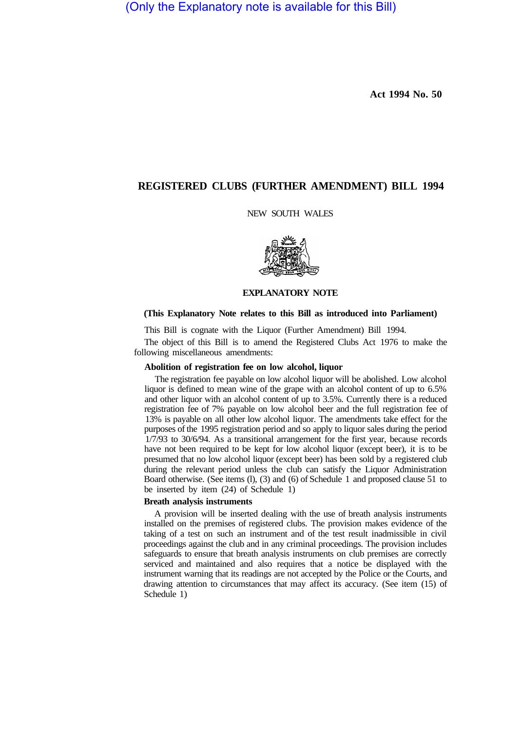(Only the Explanatory note is available for this Bill)

**Act 1994 No. 50**

## **REGISTERED CLUBS (FURTHER AMENDMENT) BILL 1994**

## NEW SOUTH WALES



#### **EXPLANATORY NOTE**

## **(This Explanatory Note relates to this Bill as introduced into Parliament)**

This Bill is cognate with the Liquor (Further Amendment) Bill 1994.

The object of this Bill is to amend the Registered Clubs Act 1976 to make the following miscellaneous amendments:

## **Abolition of registration fee on low alcohol, liquor**

The registration fee payable on low alcohol liquor will be abolished. Low alcohol liquor is defined to mean wine of the grape with an alcohol content of up to 6.5% and other liquor with an alcohol content of up to 3.5%. Currently there is a reduced registration fee of 7% payable on low alcohol beer and the full registration fee of 13% is payable on all other low alcohol liquor. The amendments take effect for the purposes of the 1995 registration period and so apply to liquor sales during the period 1/7/93 to 30/6/94. As a transitional arrangement for the first year, because records have not been required to be kept for low alcohol liquor (except beer), it is to be presumed that no low alcohol liquor (except beer) has been sold by a registered club during the relevant period unless the club can satisfy the Liquor Administration Board otherwise. (See items (l), (3) and (6) of Schedule 1 and proposed clause 51 to be inserted by item (24) of Schedule 1)

# **Breath analysis instruments**

A provision will be inserted dealing with the use of breath analysis instruments installed on the premises of registered clubs. The provision makes evidence of the taking of a test on such an instrument and of the test result inadmissible in civil proceedings against the club and in any criminal proceedings. The provision includes safeguards to ensure that breath analysis instruments on club premises are correctly serviced and maintained and also requires that a notice be displayed with the instrument warning that its readings are not accepted by the Police or the Courts, and drawing attention to circumstances that may affect its accuracy. (See item (15) of Schedule 1)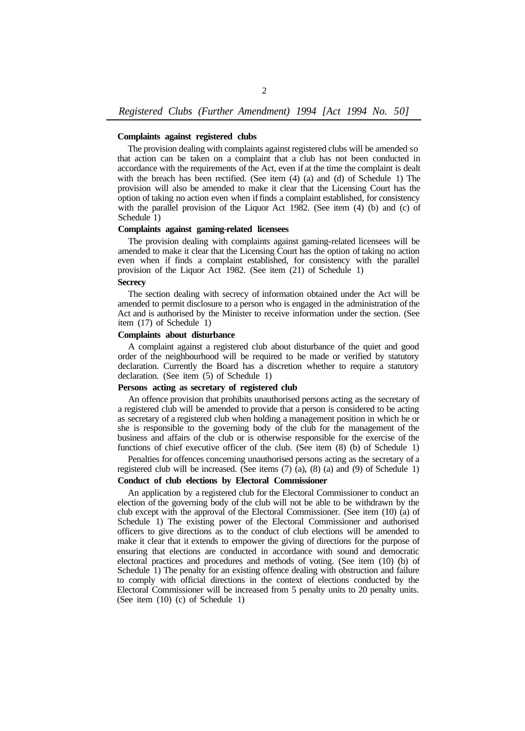#### **Complaints against registered clubs**

The provision dealing with complaints against registered clubs will be amended so that action can be taken on a complaint that a club has not been conducted in accordance with the requirements of the Act, even if at the time the complaint is dealt with the breach has been rectified. (See item (4) (a) and (d) of Schedule 1) The provision will also be amended to make it clear that the Licensing Court has the option of taking no action even when if finds a complaint established, for consistency with the parallel provision of the Liquor Act 1982. (See item (4) (b) and (c) of Schedule 1)

#### **Complaints against gaming-related licensees**

The provision dealing with complaints against gaming-related licensees will be amended to make it clear that the Licensing Court has the option of taking no action even when if finds a complaint established, for consistency with the parallel provision of the Liquor Act 1982. (See item (21) of Schedule 1)

## **Secrecy**

The section dealing with secrecy of information obtained under the Act will be amended to permit disclosure to a person who is engaged in the administration of the Act and is authorised by the Minister to receive information under the section. (See item (17) of Schedule 1)

## **Complaints about disturbance**

A complaint against a registered club about disturbance of the quiet and good order of the neighbourhood will be required to be made or verified by statutory declaration. Currently the Board has a discretion whether to require a statutory declaration. (See item (5) of Schedule 1)

## **Persons acting as secretary of registered club**

An offence provision that prohibits unauthorised persons acting as the secretary of a registered club will be amended to provide that a person is considered to be acting as secretary of a registered club when holding a management position in which he or she is responsible to the governing body of the club for the management of the business and affairs of the club or is otherwise responsible for the exercise of the functions of chief executive officer of the club. (See item (8) (b) of Schedule 1)

Penalties for offences concerning unauthorised persons acting as the secretary of a registered club will be increased. (See items (7) (a), (8) (a) and (9) of Schedule 1)

# **Conduct of club elections by Electoral Commissioner**

An application by a registered club for the Electoral Commissioner to conduct an election of the governing body of the club will not be able to be withdrawn by the club except with the approval of the Electoral Commissioner. (See item (10) (a) of Schedule 1) The existing power of the Electoral Commissioner and authorised officers to give directions as to the conduct of club elections will be amended to make it clear that it extends to empower the giving of directions for the purpose of ensuring that elections are conducted in accordance with sound and democratic electoral practices and procedures and methods of voting. (See item (10) (b) of Schedule 1) The penalty for an existing offence dealing with obstruction and failure to comply with official directions in the context of elections conducted by the Electoral Commissioner will be increased from 5 penalty units to 20 penalty units. (See item (10) (c) of Schedule 1)